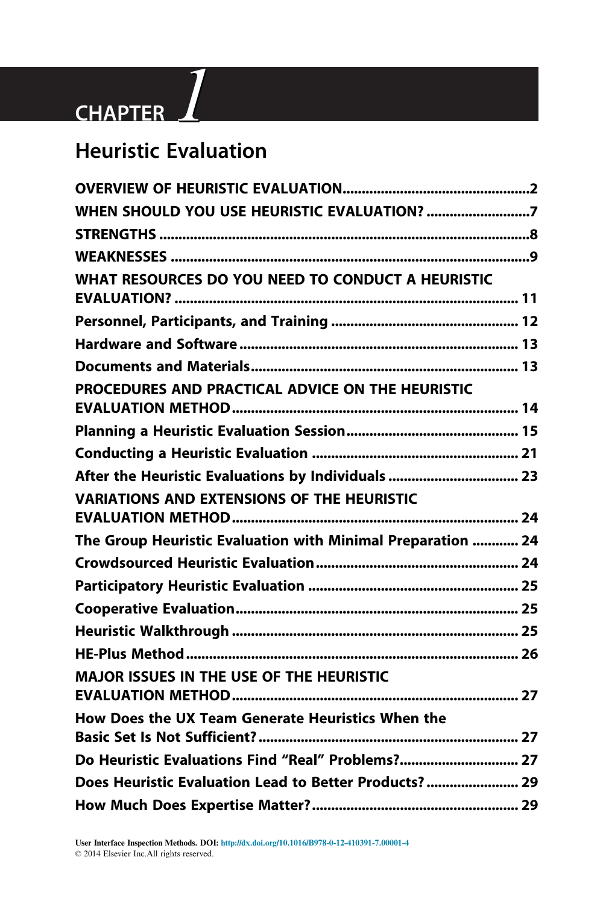# $CHAPTER$

## Heuristic Evaluation

| WHEN SHOULD YOU USE HEURISTIC EVALUATION? 7                 |
|-------------------------------------------------------------|
|                                                             |
|                                                             |
| WHAT RESOURCES DO YOU NEED TO CONDUCT A HEURISTIC           |
|                                                             |
|                                                             |
|                                                             |
| PROCEDURES AND PRACTICAL ADVICE ON THE HEURISTIC            |
|                                                             |
|                                                             |
|                                                             |
| After the Heuristic Evaluations by Individuals  23          |
| <b>VARIATIONS AND EXTENSIONS OF THE HEURISTIC</b>           |
|                                                             |
| The Group Heuristic Evaluation with Minimal Preparation  24 |
|                                                             |
|                                                             |
|                                                             |
|                                                             |
|                                                             |
| <b>MAJOR ISSUES IN THE USE OF THE HEURISTIC</b>             |
| How Does the UX Team Generate Heuristics When the           |
| Do Heuristic Evaluations Find "Real" Problems? 27           |
| Does Heuristic Evaluation Lead to Better Products?  29      |
|                                                             |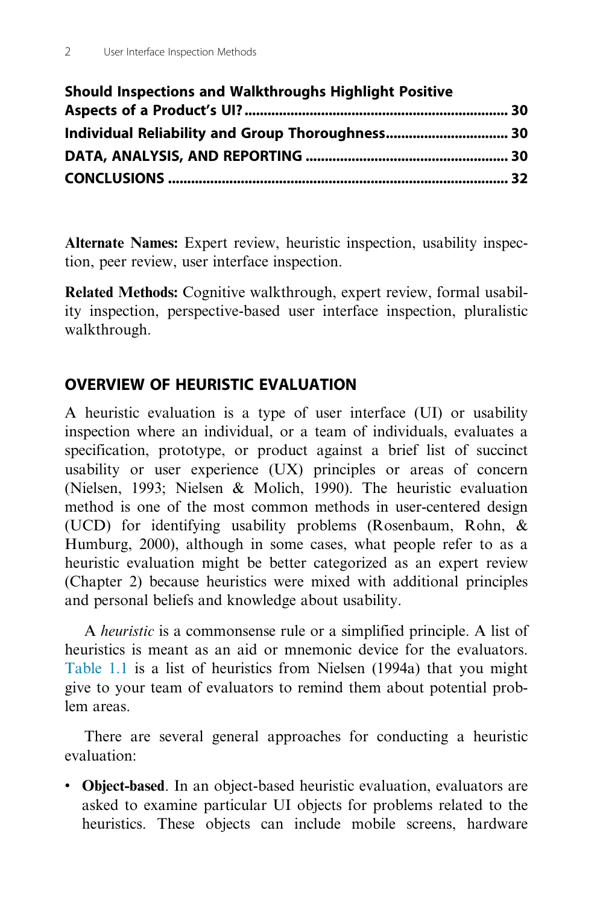| <b>Should Inspections and Walkthroughs Highlight Positive</b> |  |
|---------------------------------------------------------------|--|
|                                                               |  |
|                                                               |  |
|                                                               |  |
|                                                               |  |

Alternate Names: Expert review, heuristic inspection, usability inspection, peer review, user interface inspection.

Related Methods: Cognitive walkthrough, expert review, formal usability inspection, perspective-based user interface inspection, pluralistic walkthrough.

## OVERVIEW OF HEURISTIC EVALUATION

A heuristic evaluation is a type of user interface (UI) or usability inspection where an individual, or a team of individuals, evaluates a specification, prototype, or product against a brief list of succinct usability or user experience (UX) principles or areas of concern (Nielsen, 1993; Nielsen & Molich, 1990). The heuristic evaluation method is one of the most common methods in user-centered design (UCD) for identifying usability problems (Rosenbaum, Rohn, & Humburg, 2000), although in some cases, what people refer to as a heuristic evaluation might be better categorized as an expert review (Chapter 2) because heuristics were mixed with additional principles and personal beliefs and knowledge about usability.

A heuristic is a commonsense rule or a simplified principle. A list of heuristics is meant as an aid or mnemonic device for the evaluators. [Table 1.1](#page-2-0) is a list of heuristics from Nielsen (1994a) that you might give to your team of evaluators to remind them about potential problem areas.

There are several general approaches for conducting a heuristic evaluation:

• Object-based. In an object-based heuristic evaluation, evaluators are asked to examine particular UI objects for problems related to the heuristics. These objects can include mobile screens, hardware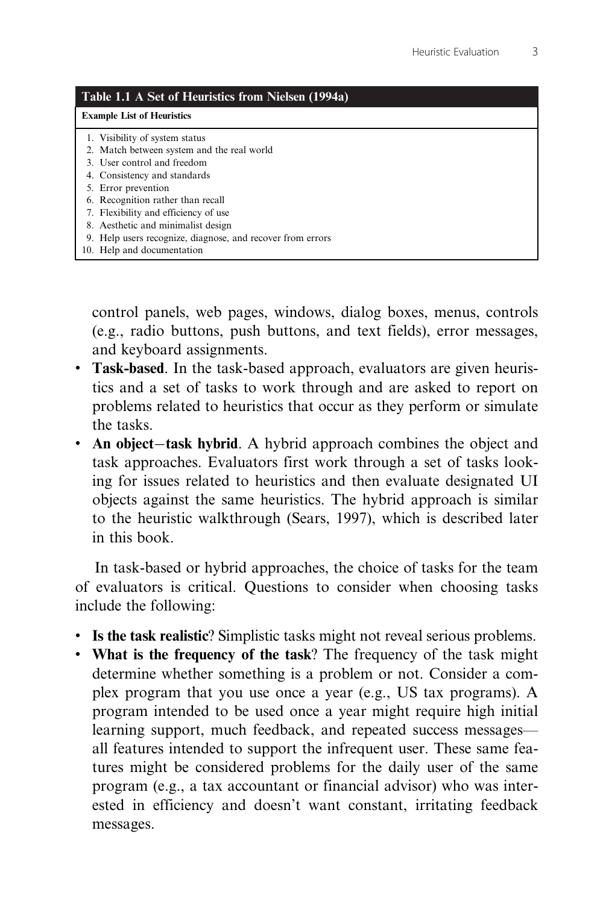#### <span id="page-2-0"></span>Table 1.1 A Set of Heuristics from Nielsen (1994a)

#### Example List of Heuristics

- 1. Visibility of system status
- 2. Match between system and the real world
- 3. User control and freedom
- 4. Consistency and standards
- 5. Error prevention
- 6. Recognition rather than recall
- 7. Flexibility and efficiency of use
- 8. Aesthetic and minimalist design 9. Help users recognize, diagnose, and recover from errors
- 10. Help and documentation

control panels, web pages, windows, dialog boxes, menus, controls (e.g., radio buttons, push buttons, and text fields), error messages, and keyboard assignments.

- **Task-based**. In the task-based approach, evaluators are given heuristics and a set of tasks to work through and are asked to report on problems related to heuristics that occur as they perform or simulate the tasks.
- An object-task hybrid. A hybrid approach combines the object and task approaches. Evaluators first work through a set of tasks looking for issues related to heuristics and then evaluate designated UI objects against the same heuristics. The hybrid approach is similar to the heuristic walkthrough (Sears, 1997), which is described later in this book.

In task-based or hybrid approaches, the choice of tasks for the team of evaluators is critical. Questions to consider when choosing tasks include the following:

- Is the task realistic? Simplistic tasks might not reveal serious problems.
- What is the frequency of the task? The frequency of the task might determine whether something is a problem or not. Consider a complex program that you use once a year (e.g., US tax programs). A program intended to be used once a year might require high initial learning support, much feedback, and repeated success messages all features intended to support the infrequent user. These same features might be considered problems for the daily user of the same program (e.g., a tax accountant or financial advisor) who was interested in efficiency and doesn't want constant, irritating feedback messages.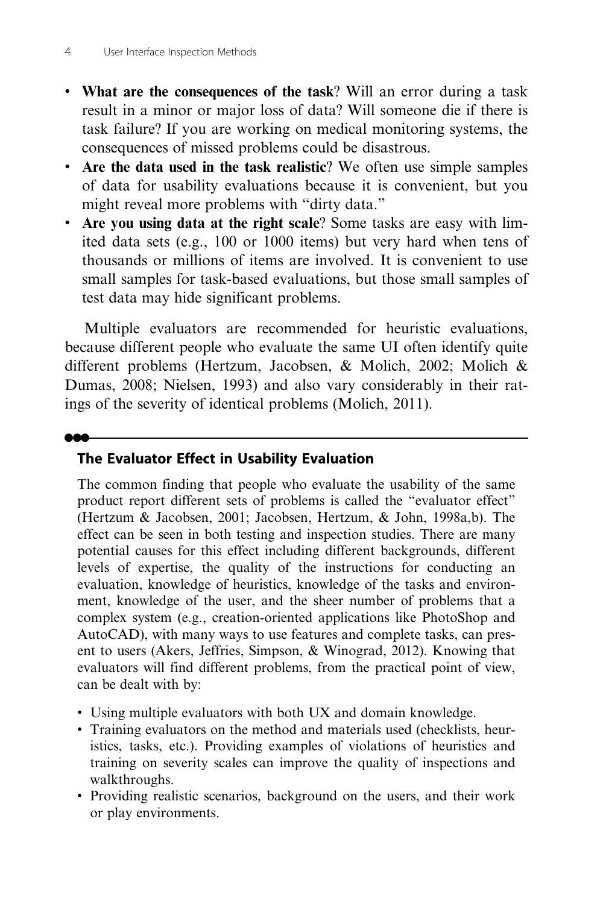- What are the consequences of the task? Will an error during a task result in a minor or major loss of data? Will someone die if there is task failure? If you are working on medical monitoring systems, the consequences of missed problems could be disastrous.
- Are the data used in the task realistic? We often use simple samples of data for usability evaluations because it is convenient, but you might reveal more problems with "dirty data."
- Are you using data at the right scale? Some tasks are easy with limited data sets (e.g., 100 or 1000 items) but very hard when tens of thousands or millions of items are involved. It is convenient to use small samples for task-based evaluations, but those small samples of test data may hide significant problems.

Multiple evaluators are recommended for heuristic evaluations, because different people who evaluate the same UI often identify quite different problems (Hertzum, Jacobsen, & Molich, 2002; Molich & Dumas, 2008; Nielsen, 1993) and also vary considerably in their ratings of the severity of identical problems (Molich, 2011).

# ••• The Evaluator Effect in Usability Evaluation

The common finding that people who evaluate the usability of the same product report different sets of problems is called the "evaluator effect" (Hertzum & Jacobsen, 2001; Jacobsen, Hertzum, & John, 1998a,b). The effect can be seen in both testing and inspection studies. There are many potential causes for this effect including different backgrounds, different levels of expertise, the quality of the instructions for conducting an evaluation, knowledge of heuristics, knowledge of the tasks and environment, knowledge of the user, and the sheer number of problems that a complex system (e.g., creation-oriented applications like PhotoShop and AutoCAD), with many ways to use features and complete tasks, can present to users (Akers, Jeffries, Simpson, & Winograd, 2012). Knowing that evaluators will find different problems, from the practical point of view, can be dealt with by:

- Using multiple evaluators with both UX and domain knowledge.
- Training evaluators on the method and materials used (checklists, heuristics, tasks, etc.). Providing examples of violations of heuristics and training on severity scales can improve the quality of inspections and walkthroughs.
- Providing realistic scenarios, background on the users, and their work or play environments.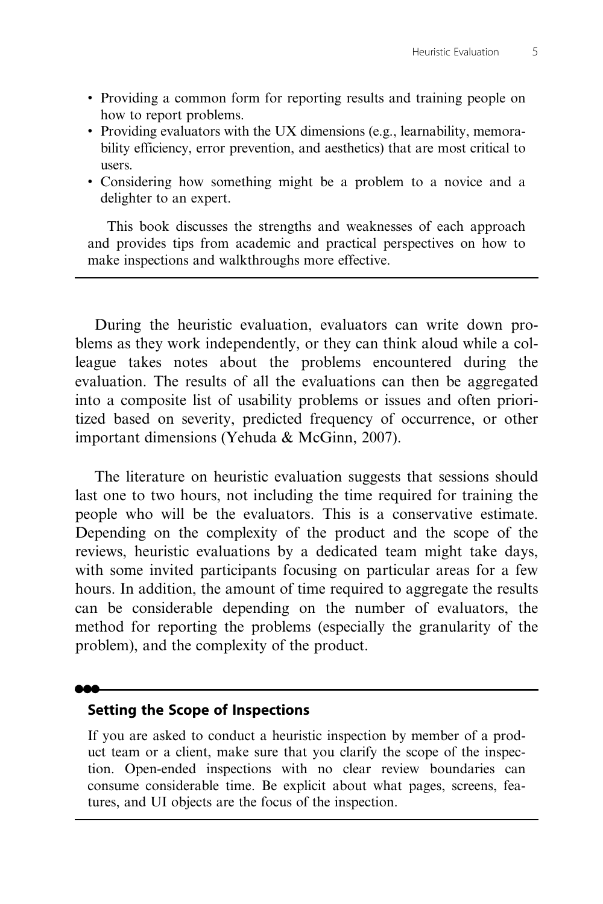- Providing a common form for reporting results and training people on how to report problems.
- Providing evaluators with the UX dimensions (e.g., learnability, memorability efficiency, error prevention, and aesthetics) that are most critical to users.
- Considering how something might be a problem to a novice and a delighter to an expert.

This book discusses the strengths and weaknesses of each approach and provides tips from academic and practical perspectives on how to make inspections and walkthroughs more effective.

During the heuristic evaluation, evaluators can write down problems as they work independently, or they can think aloud while a colleague takes notes about the problems encountered during the evaluation. The results of all the evaluations can then be aggregated into a composite list of usability problems or issues and often prioritized based on severity, predicted frequency of occurrence, or other important dimensions (Yehuda & McGinn, 2007).

The literature on heuristic evaluation suggests that sessions should last one to two hours, not including the time required for training the people who will be the evaluators. This is a conservative estimate. Depending on the complexity of the product and the scope of the reviews, heuristic evaluations by a dedicated team might take days, with some invited participants focusing on particular areas for a few hours. In addition, the amount of time required to aggregate the results can be considerable depending on the number of evaluators, the method for reporting the problems (especially the granularity of the problem), and the complexity of the product.

# $\bullet\bullet\bullet$

#### Setting the Scope of Inspections

If you are asked to conduct a heuristic inspection by member of a product team or a client, make sure that you clarify the scope of the inspection. Open-ended inspections with no clear review boundaries can consume considerable time. Be explicit about what pages, screens, features, and UI objects are the focus of the inspection.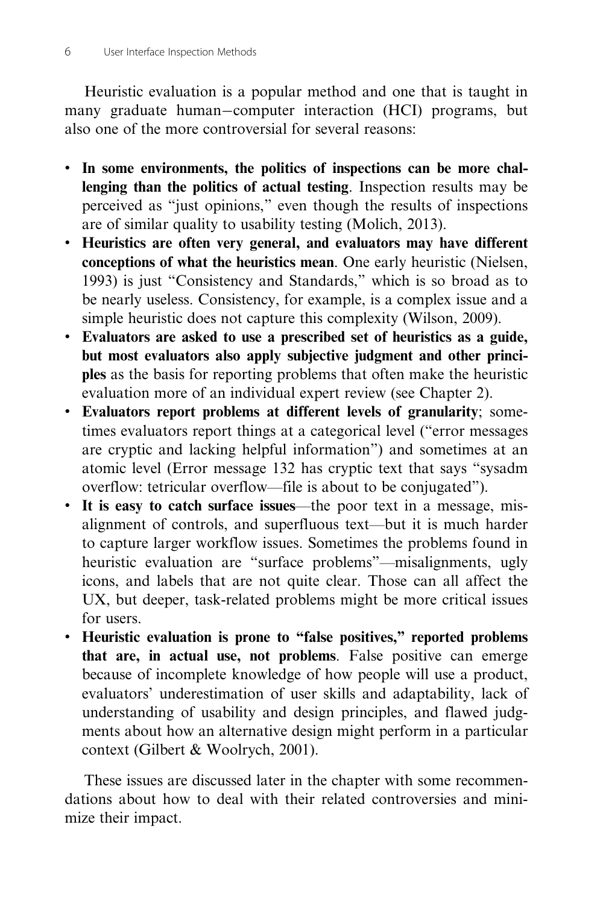Heuristic evaluation is a popular method and one that is taught in many graduate human-computer interaction (HCI) programs, but also one of the more controversial for several reasons:

- In some environments, the politics of inspections can be more challenging than the politics of actual testing. Inspection results may be perceived as "just opinions," even though the results of inspections are of similar quality to usability testing (Molich, 2013).
- Heuristics are often very general, and evaluators may have different conceptions of what the heuristics mean. One early heuristic (Nielsen, 1993) is just "Consistency and Standards," which is so broad as to be nearly useless. Consistency, for example, is a complex issue and a simple heuristic does not capture this complexity (Wilson, 2009).
- Evaluators are asked to use a prescribed set of heuristics as a guide, but most evaluators also apply subjective judgment and other principles as the basis for reporting problems that often make the heuristic evaluation more of an individual expert review (see Chapter 2).
- Evaluators report problems at different levels of granularity; sometimes evaluators report things at a categorical level ("error messages are cryptic and lacking helpful information") and sometimes at an atomic level (Error message 132 has cryptic text that says "sysadm overflow: tetricular overflow—file is about to be conjugated").
- It is easy to catch surface issues—the poor text in a message, misalignment of controls, and superfluous text—but it is much harder to capture larger workflow issues. Sometimes the problems found in heuristic evaluation are "surface problems"—misalignments, ugly icons, and labels that are not quite clear. Those can all affect the UX, but deeper, task-related problems might be more critical issues for users.
- Heuristic evaluation is prone to "false positives," reported problems that are, in actual use, not problems. False positive can emerge because of incomplete knowledge of how people will use a product, evaluators' underestimation of user skills and adaptability, lack of understanding of usability and design principles, and flawed judgments about how an alternative design might perform in a particular context (Gilbert & Woolrych, 2001).

These issues are discussed later in the chapter with some recommendations about how to deal with their related controversies and minimize their impact.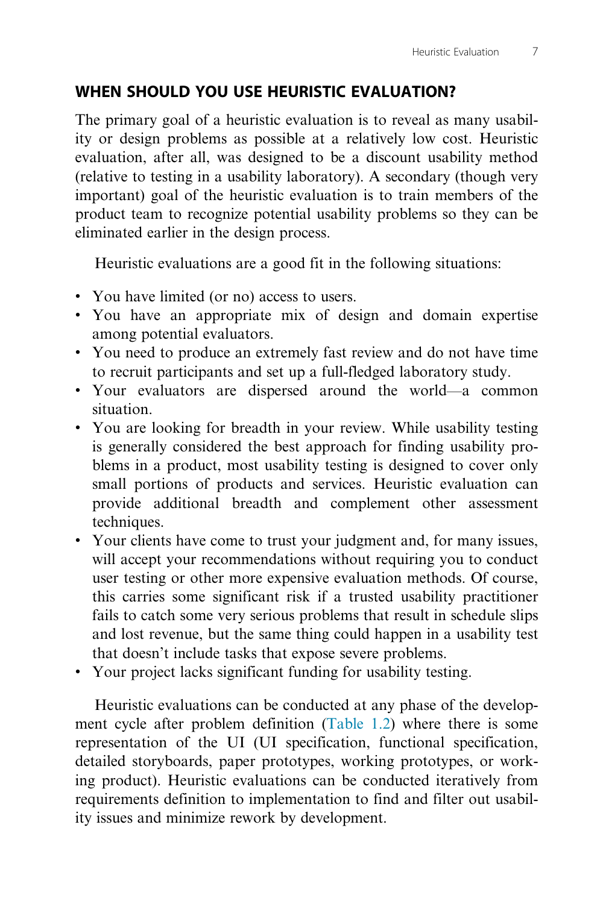## WHEN SHOULD YOU USE HEURISTIC EVALUATION?

The primary goal of a heuristic evaluation is to reveal as many usability or design problems as possible at a relatively low cost. Heuristic evaluation, after all, was designed to be a discount usability method (relative to testing in a usability laboratory). A secondary (though very important) goal of the heuristic evaluation is to train members of the product team to recognize potential usability problems so they can be eliminated earlier in the design process.

Heuristic evaluations are a good fit in the following situations:

- You have limited (or no) access to users.
- You have an appropriate mix of design and domain expertise among potential evaluators.
- You need to produce an extremely fast review and do not have time to recruit participants and set up a full-fledged laboratory study.
- Your evaluators are dispersed around the world—a common situation.
- You are looking for breadth in your review. While usability testing is generally considered the best approach for finding usability problems in a product, most usability testing is designed to cover only small portions of products and services. Heuristic evaluation can provide additional breadth and complement other assessment techniques.
- Your clients have come to trust your judgment and, for many issues, will accept your recommendations without requiring you to conduct user testing or other more expensive evaluation methods. Of course, this carries some significant risk if a trusted usability practitioner fails to catch some very serious problems that result in schedule slips and lost revenue, but the same thing could happen in a usability test that doesn't include tasks that expose severe problems.
- Your project lacks significant funding for usability testing.

Heuristic evaluations can be conducted at any phase of the development cycle after problem definition [\(Table 1.2\)](#page-7-0) where there is some representation of the UI (UI specification, functional specification, detailed storyboards, paper prototypes, working prototypes, or working product). Heuristic evaluations can be conducted iteratively from requirements definition to implementation to find and filter out usability issues and minimize rework by development.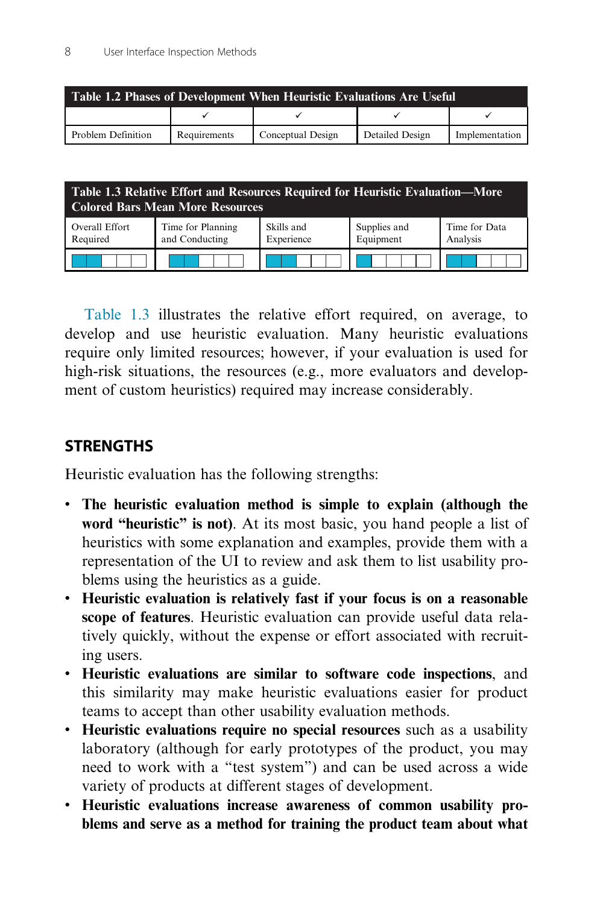<span id="page-7-0"></span>

| Table 1.2 Phases of Development When Heuristic Evaluations Are Useful |              |                   |                 |                |  |
|-----------------------------------------------------------------------|--------------|-------------------|-----------------|----------------|--|
|                                                                       |              |                   |                 |                |  |
| Problem Definition                                                    | Requirements | Conceptual Design | Detailed Design | Implementation |  |

| Table 1.3 Relative Effort and Resources Required for Heuristic Evaluation—More<br>Colored Bars Mean More Resources |                                     |                          |                           |                           |  |
|--------------------------------------------------------------------------------------------------------------------|-------------------------------------|--------------------------|---------------------------|---------------------------|--|
| Overall Effort<br>Required                                                                                         | Time for Planning<br>and Conducting | Skills and<br>Experience | Supplies and<br>Equipment | Time for Data<br>Analysis |  |
|                                                                                                                    |                                     |                          |                           |                           |  |

Table 1.3 illustrates the relative effort required, on average, to develop and use heuristic evaluation. Many heuristic evaluations require only limited resources; however, if your evaluation is used for high-risk situations, the resources (e.g., more evaluators and development of custom heuristics) required may increase considerably.

#### **STRENGTHS**

Heuristic evaluation has the following strengths:

- The heuristic evaluation method is simple to explain (although the word "heuristic" is not). At its most basic, you hand people a list of heuristics with some explanation and examples, provide them with a representation of the UI to review and ask them to list usability problems using the heuristics as a guide.
- Heuristic evaluation is relatively fast if your focus is on a reasonable scope of features. Heuristic evaluation can provide useful data relatively quickly, without the expense or effort associated with recruiting users.
- Heuristic evaluations are similar to software code inspections, and this similarity may make heuristic evaluations easier for product teams to accept than other usability evaluation methods.
- Heuristic evaluations require no special resources such as a usability laboratory (although for early prototypes of the product, you may need to work with a "test system") and can be used across a wide variety of products at different stages of development.
- Heuristic evaluations increase awareness of common usability problems and serve as a method for training the product team about what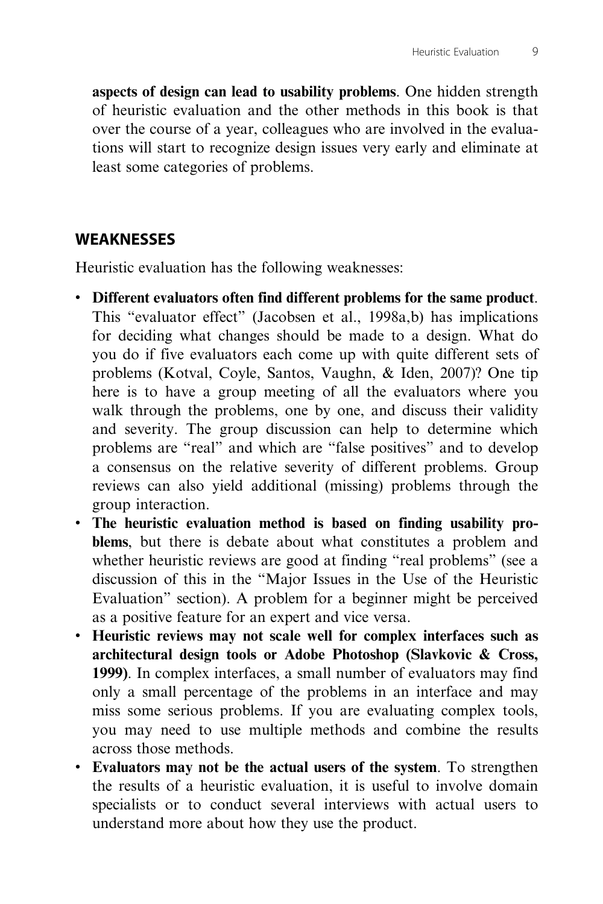aspects of design can lead to usability problems. One hidden strength of heuristic evaluation and the other methods in this book is that over the course of a year, colleagues who are involved in the evaluations will start to recognize design issues very early and eliminate at least some categories of problems.

## **WEAKNESSES**

Heuristic evaluation has the following weaknesses:

- Different evaluators often find different problems for the same product. This "evaluator effect" (Jacobsen et al., 1998a,b) has implications for deciding what changes should be made to a design. What do you do if five evaluators each come up with quite different sets of problems (Kotval, Coyle, Santos, Vaughn, & Iden, 2007)? One tip here is to have a group meeting of all the evaluators where you walk through the problems, one by one, and discuss their validity and severity. The group discussion can help to determine which problems are "real" and which are "false positives" and to develop a consensus on the relative severity of different problems. Group reviews can also yield additional (missing) problems through the group interaction.
- The heuristic evaluation method is based on finding usability problems, but there is debate about what constitutes a problem and whether heuristic reviews are good at finding "real problems" (see a discussion of this in the "Major Issues in the Use of the Heuristic Evaluation" section). A problem for a beginner might be perceived as a positive feature for an expert and vice versa.
- Heuristic reviews may not scale well for complex interfaces such as architectural design tools or Adobe Photoshop (Slavkovic & Cross, 1999). In complex interfaces, a small number of evaluators may find only a small percentage of the problems in an interface and may miss some serious problems. If you are evaluating complex tools, you may need to use multiple methods and combine the results across those methods.
- Evaluators may not be the actual users of the system. To strengthen the results of a heuristic evaluation, it is useful to involve domain specialists or to conduct several interviews with actual users to understand more about how they use the product.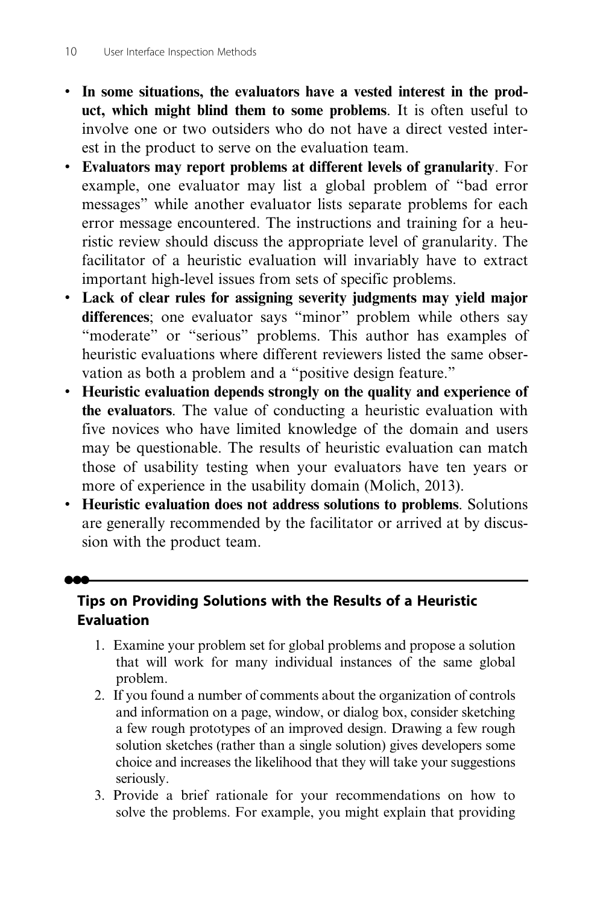- In some situations, the evaluators have a vested interest in the product, which might blind them to some problems. It is often useful to involve one or two outsiders who do not have a direct vested interest in the product to serve on the evaluation team.
- Evaluators may report problems at different levels of granularity. For example, one evaluator may list a global problem of "bad error messages" while another evaluator lists separate problems for each error message encountered. The instructions and training for a heuristic review should discuss the appropriate level of granularity. The facilitator of a heuristic evaluation will invariably have to extract important high-level issues from sets of specific problems.
- Lack of clear rules for assigning severity judgments may yield major differences; one evaluator says "minor" problem while others say "moderate" or "serious" problems. This author has examples of heuristic evaluations where different reviewers listed the same observation as both a problem and a "positive design feature."
- Heuristic evaluation depends strongly on the quality and experience of the evaluators. The value of conducting a heuristic evaluation with five novices who have limited knowledge of the domain and users may be questionable. The results of heuristic evaluation can match those of usability testing when your evaluators have ten years or more of experience in the usability domain (Molich, 2013).
- Heuristic evaluation does not address solutions to problems. Solutions are generally recommended by the facilitator or arrived at by discussion with the product team.

## ••• Tips on Providing Solutions with the Results of a Heuristic Evaluation

- 1. Examine your problem set for global problems and propose a solution that will work for many individual instances of the same global problem.
- 2. If you found a number of comments about the organization of controls and information on a page, window, or dialog box, consider sketching a few rough prototypes of an improved design. Drawing a few rough solution sketches (rather than a single solution) gives developers some choice and increases the likelihood that they will take your suggestions seriously.
- 3. Provide a brief rationale for your recommendations on how to solve the problems. For example, you might explain that providing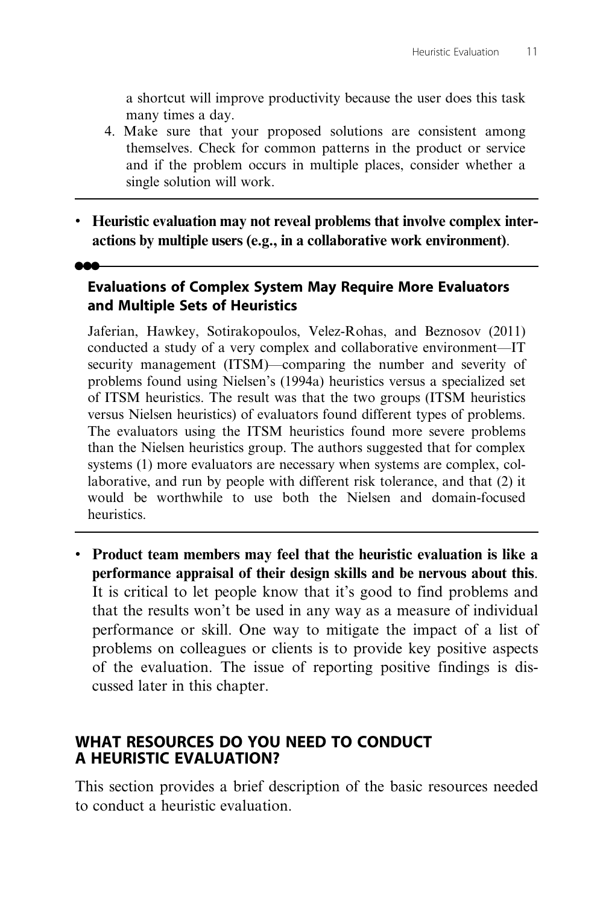a shortcut will improve productivity because the user does this task many times a day.

- 4. Make sure that your proposed solutions are consistent among themselves. Check for common patterns in the product or service and if the problem occurs in multiple places, consider whether a single solution will work.
- Heuristic evaluation may not reveal problems that involve complex interactions by multiple users (e.g., in a collaborative work environment).

## ••• Evaluations of Complex System May Require More Evaluators and Multiple Sets of Heuristics

Jaferian, Hawkey, Sotirakopoulos, Velez-Rohas, and Beznosov (2011) conducted a study of a very complex and collaborative environment—IT security management (ITSM)—comparing the number and severity of problems found using Nielsen's (1994a) heuristics versus a specialized set of ITSM heuristics. The result was that the two groups (ITSM heuristics versus Nielsen heuristics) of evaluators found different types of problems. The evaluators using the ITSM heuristics found more severe problems than the Nielsen heuristics group. The authors suggested that for complex systems (1) more evaluators are necessary when systems are complex, collaborative, and run by people with different risk tolerance, and that (2) it would be worthwhile to use both the Nielsen and domain-focused heuristics.

• Product team members may feel that the heuristic evaluation is like a performance appraisal of their design skills and be nervous about this. It is critical to let people know that it's good to find problems and that the results won't be used in any way as a measure of individual performance or skill. One way to mitigate the impact of a list of problems on colleagues or clients is to provide key positive aspects of the evaluation. The issue of reporting positive findings is discussed later in this chapter.

## WHAT RESOURCES DO YOU NEED TO CONDUCT A HEURISTIC EVALUATION?

This section provides a brief description of the basic resources needed to conduct a heuristic evaluation.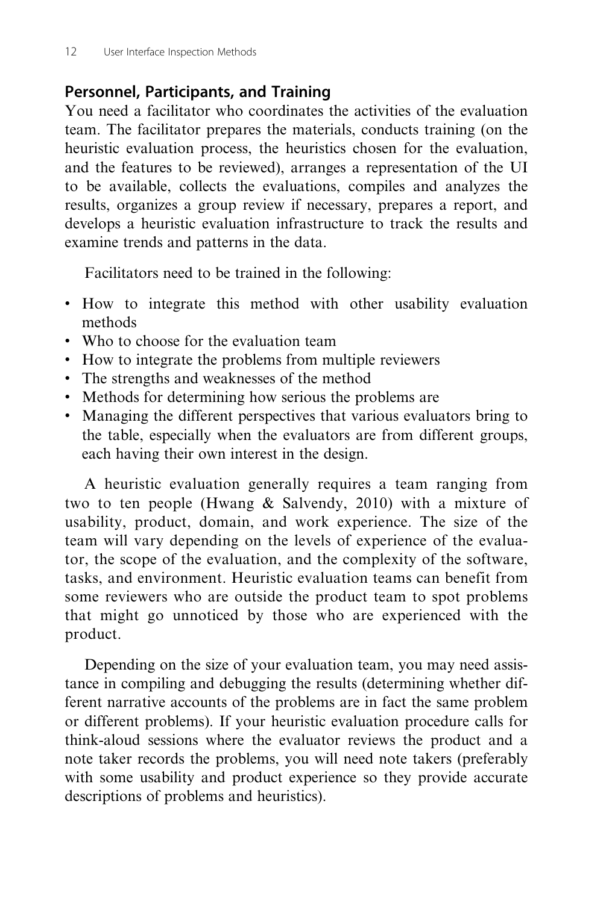## Personnel, Participants, and Training

You need a facilitator who coordinates the activities of the evaluation team. The facilitator prepares the materials, conducts training (on the heuristic evaluation process, the heuristics chosen for the evaluation, and the features to be reviewed), arranges a representation of the UI to be available, collects the evaluations, compiles and analyzes the results, organizes a group review if necessary, prepares a report, and develops a heuristic evaluation infrastructure to track the results and examine trends and patterns in the data.

Facilitators need to be trained in the following:

- How to integrate this method with other usability evaluation methods
- Who to choose for the evaluation team
- How to integrate the problems from multiple reviewers
- The strengths and weaknesses of the method
- Methods for determining how serious the problems are
- Managing the different perspectives that various evaluators bring to the table, especially when the evaluators are from different groups, each having their own interest in the design.

A heuristic evaluation generally requires a team ranging from two to ten people (Hwang & Salvendy, 2010) with a mixture of usability, product, domain, and work experience. The size of the team will vary depending on the levels of experience of the evaluator, the scope of the evaluation, and the complexity of the software, tasks, and environment. Heuristic evaluation teams can benefit from some reviewers who are outside the product team to spot problems that might go unnoticed by those who are experienced with the product.

Depending on the size of your evaluation team, you may need assistance in compiling and debugging the results (determining whether different narrative accounts of the problems are in fact the same problem or different problems). If your heuristic evaluation procedure calls for think-aloud sessions where the evaluator reviews the product and a note taker records the problems, you will need note takers (preferably with some usability and product experience so they provide accurate descriptions of problems and heuristics).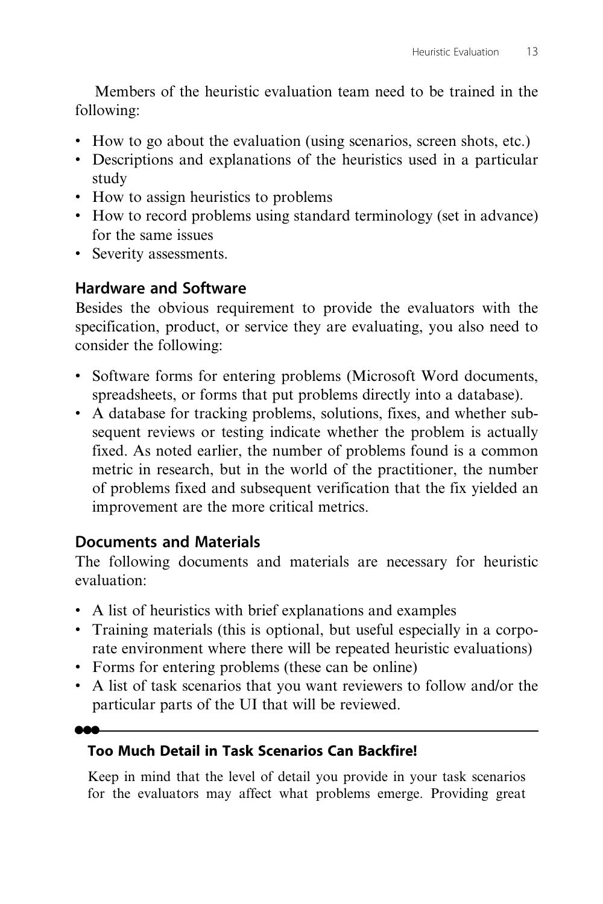Members of the heuristic evaluation team need to be trained in the following:

- How to go about the evaluation (using scenarios, screen shots, etc.)
- Descriptions and explanations of the heuristics used in a particular study
- How to assign heuristics to problems
- How to record problems using standard terminology (set in advance) for the same issues
- Severity assessments.

## Hardware and Software

Besides the obvious requirement to provide the evaluators with the specification, product, or service they are evaluating, you also need to consider the following:

- Software forms for entering problems (Microsoft Word documents, spreadsheets, or forms that put problems directly into a database).
- A database for tracking problems, solutions, fixes, and whether subsequent reviews or testing indicate whether the problem is actually fixed. As noted earlier, the number of problems found is a common metric in research, but in the world of the practitioner, the number of problems fixed and subsequent verification that the fix yielded an improvement are the more critical metrics.

## Documents and Materials

The following documents and materials are necessary for heuristic evaluation:

- A list of heuristics with brief explanations and examples
- Training materials (this is optional, but useful especially in a corporate environment where there will be repeated heuristic evaluations)
- Forms for entering problems (these can be online)
- A list of task scenarios that you want reviewers to follow and/or the particular parts of the UI that will be reviewed.

# $\frac{\bullet}{\bullet}$

## Too Much Detail in Task Scenarios Can Backfire!

Keep in mind that the level of detail you provide in your task scenarios for the evaluators may affect what problems emerge. Providing great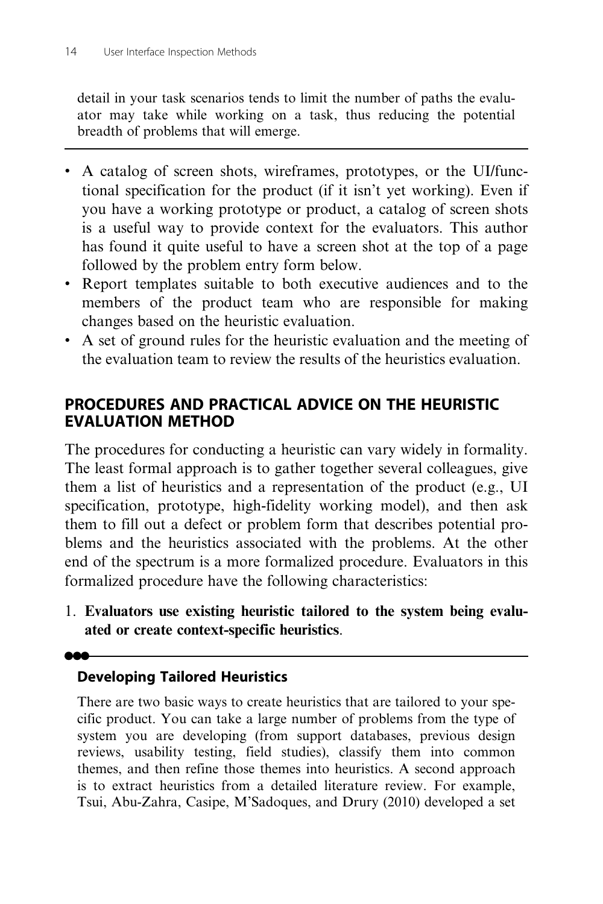detail in your task scenarios tends to limit the number of paths the evaluator may take while working on a task, thus reducing the potential breadth of problems that will emerge.

- A catalog of screen shots, wireframes, prototypes, or the UI/functional specification for the product (if it isn't yet working). Even if you have a working prototype or product, a catalog of screen shots is a useful way to provide context for the evaluators. This author has found it quite useful to have a screen shot at the top of a page followed by the problem entry form below.
- Report templates suitable to both executive audiences and to the members of the product team who are responsible for making changes based on the heuristic evaluation.
- A set of ground rules for the heuristic evaluation and the meeting of the evaluation team to review the results of the heuristics evaluation.

## PROCEDURES AND PRACTICAL ADVICE ON THE HEURISTIC EVALUATION METHOD

The procedures for conducting a heuristic can vary widely in formality. The least formal approach is to gather together several colleagues, give them a list of heuristics and a representation of the product (e.g., UI specification, prototype, high-fidelity working model), and then ask them to fill out a defect or problem form that describes potential problems and the heuristics associated with the problems. At the other end of the spectrum is a more formalized procedure. Evaluators in this formalized procedure have the following characteristics:

1. Evaluators use existing heuristic tailored to the system being evaluated or create context-specific heuristics.

## ••• Developing Tailored Heuristics

There are two basic ways to create heuristics that are tailored to your specific product. You can take a large number of problems from the type of system you are developing (from support databases, previous design reviews, usability testing, field studies), classify them into common themes, and then refine those themes into heuristics. A second approach is to extract heuristics from a detailed literature review. For example, Tsui, Abu-Zahra, Casipe, M'Sadoques, and Drury (2010) developed a set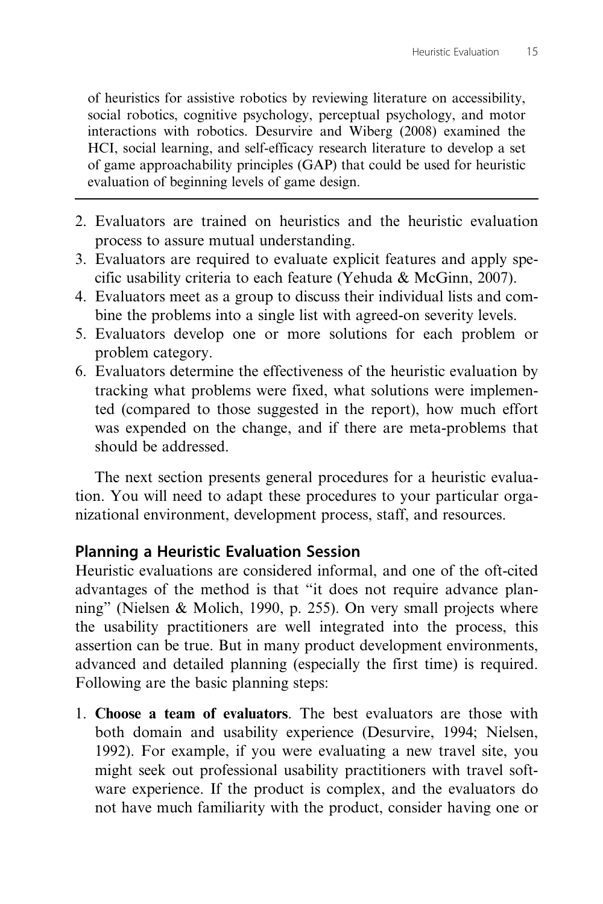of heuristics for assistive robotics by reviewing literature on accessibility, social robotics, cognitive psychology, perceptual psychology, and motor interactions with robotics. Desurvire and Wiberg (2008) examined the HCI, social learning, and self-efficacy research literature to develop a set of game approachability principles (GAP) that could be used for heuristic evaluation of beginning levels of game design.

- 2. Evaluators are trained on heuristics and the heuristic evaluation process to assure mutual understanding.
- 3. Evaluators are required to evaluate explicit features and apply specific usability criteria to each feature (Yehuda & McGinn, 2007).
- 4. Evaluators meet as a group to discuss their individual lists and combine the problems into a single list with agreed-on severity levels.
- 5. Evaluators develop one or more solutions for each problem or problem category.
- 6. Evaluators determine the effectiveness of the heuristic evaluation by tracking what problems were fixed, what solutions were implemented (compared to those suggested in the report), how much effort was expended on the change, and if there are meta-problems that should be addressed.

The next section presents general procedures for a heuristic evaluation. You will need to adapt these procedures to your particular organizational environment, development process, staff, and resources.

## Planning a Heuristic Evaluation Session

Heuristic evaluations are considered informal, and one of the oft-cited advantages of the method is that "it does not require advance planning" (Nielsen & Molich, 1990, p. 255). On very small projects where the usability practitioners are well integrated into the process, this assertion can be true. But in many product development environments, advanced and detailed planning (especially the first time) is required. Following are the basic planning steps:

1. Choose a team of evaluators. The best evaluators are those with both domain and usability experience (Desurvire, 1994; Nielsen, 1992). For example, if you were evaluating a new travel site, you might seek out professional usability practitioners with travel software experience. If the product is complex, and the evaluators do not have much familiarity with the product, consider having one or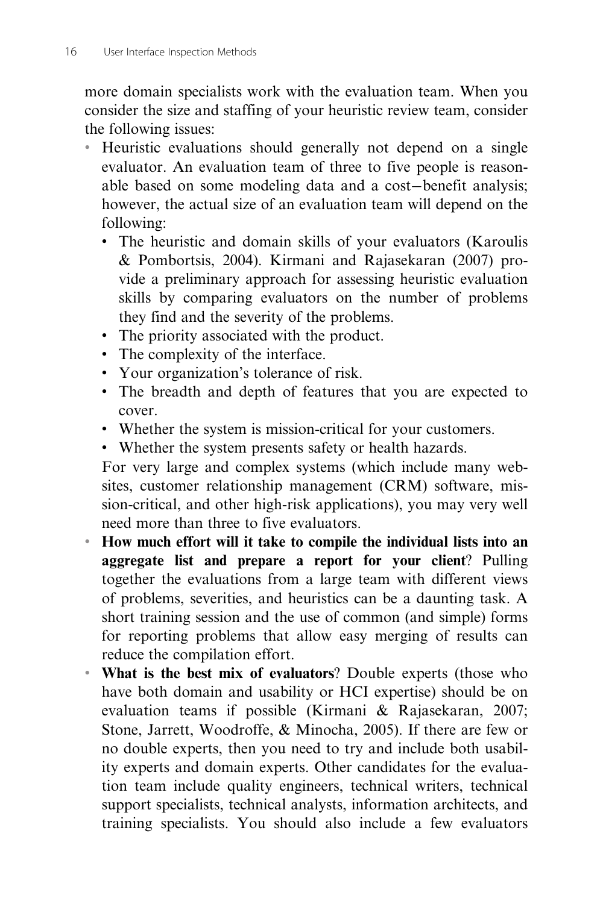more domain specialists work with the evaluation team. When you consider the size and staffing of your heuristic review team, consider the following issues:

- Heuristic evaluations should generally not depend on a single evaluator. An evaluation team of three to five people is reasonable based on some modeling data and a cost-benefit analysis; however, the actual size of an evaluation team will depend on the following:
	- The heuristic and domain skills of your evaluators (Karoulis & Pombortsis, 2004). Kirmani and Rajasekaran (2007) provide a preliminary approach for assessing heuristic evaluation skills by comparing evaluators on the number of problems they find and the severity of the problems.
	- The priority associated with the product.
	- The complexity of the interface.
	- Your organization's tolerance of risk.
	- The breadth and depth of features that you are expected to cover.
	- Whether the system is mission-critical for your customers.
	- Whether the system presents safety or health hazards.

For very large and complex systems (which include many websites, customer relationship management (CRM) software, mission-critical, and other high-risk applications), you may very well need more than three to five evaluators.

- How much effort will it take to compile the individual lists into an aggregate list and prepare a report for your client? Pulling together the evaluations from a large team with different views of problems, severities, and heuristics can be a daunting task. A short training session and the use of common (and simple) forms for reporting problems that allow easy merging of results can reduce the compilation effort.
- What is the best mix of evaluators? Double experts (those who have both domain and usability or HCI expertise) should be on evaluation teams if possible (Kirmani & Rajasekaran, 2007; Stone, Jarrett, Woodroffe, & Minocha, 2005). If there are few or no double experts, then you need to try and include both usability experts and domain experts. Other candidates for the evaluation team include quality engineers, technical writers, technical support specialists, technical analysts, information architects, and training specialists. You should also include a few evaluators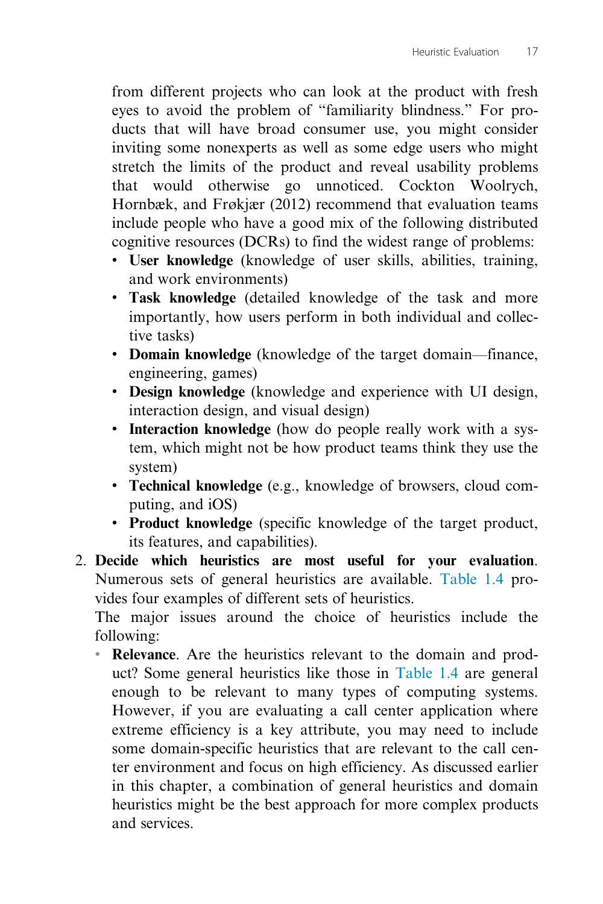from different projects who can look at the product with fresh eyes to avoid the problem of "familiarity blindness." For products that will have broad consumer use, you might consider inviting some nonexperts as well as some edge users who might stretch the limits of the product and reveal usability problems that would otherwise go unnoticed. Cockton Woolrych, Hornbæk, and Frøkjær (2012) recommend that evaluation teams include people who have a good mix of the following distributed cognitive resources (DCRs) to find the widest range of problems:

- User knowledge (knowledge of user skills, abilities, training, and work environments)
- Task knowledge (detailed knowledge of the task and more importantly, how users perform in both individual and collective tasks)
- Domain knowledge (knowledge of the target domain—finance, engineering, games)
- Design knowledge (knowledge and experience with UI design, interaction design, and visual design)
- Interaction knowledge (how do people really work with a system, which might not be how product teams think they use the system)
- Technical knowledge (e.g., knowledge of browsers, cloud computing, and iOS)
- Product knowledge (specific knowledge of the target product, its features, and capabilities).
- 2. Decide which heuristics are most useful for your evaluation. Numerous sets of general heuristics are available. [Table 1.4](#page-17-0) provides four examples of different sets of heuristics.

The major issues around the choice of heuristics include the following:

• Relevance. Are the heuristics relevant to the domain and product? Some general heuristics like those in [Table 1.4](#page-17-0) are general enough to be relevant to many types of computing systems. However, if you are evaluating a call center application where extreme efficiency is a key attribute, you may need to include some domain-specific heuristics that are relevant to the call center environment and focus on high efficiency. As discussed earlier in this chapter, a combination of general heuristics and domain heuristics might be the best approach for more complex products and services.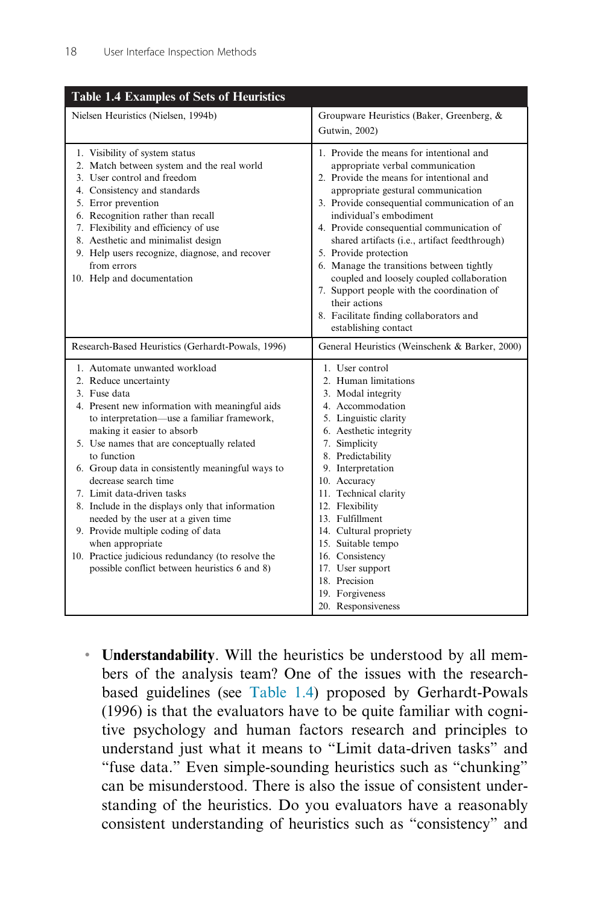<span id="page-17-0"></span>

| <b>Table 1.4 Examples of Sets of Heuristics</b>                                                                                                                                                                                                                                                                                                                                                                                                                                                                                                                                                                                         |                                                                                                                                                                                                                                                                                                                                                                                                                                                                                                                                                                                              |  |  |
|-----------------------------------------------------------------------------------------------------------------------------------------------------------------------------------------------------------------------------------------------------------------------------------------------------------------------------------------------------------------------------------------------------------------------------------------------------------------------------------------------------------------------------------------------------------------------------------------------------------------------------------------|----------------------------------------------------------------------------------------------------------------------------------------------------------------------------------------------------------------------------------------------------------------------------------------------------------------------------------------------------------------------------------------------------------------------------------------------------------------------------------------------------------------------------------------------------------------------------------------------|--|--|
| Nielsen Heuristics (Nielsen, 1994b)                                                                                                                                                                                                                                                                                                                                                                                                                                                                                                                                                                                                     | Groupware Heuristics (Baker, Greenberg, &<br>Gutwin, 2002)                                                                                                                                                                                                                                                                                                                                                                                                                                                                                                                                   |  |  |
| 1. Visibility of system status<br>2. Match between system and the real world<br>3. User control and freedom<br>4. Consistency and standards<br>5. Error prevention<br>6. Recognition rather than recall<br>7. Flexibility and efficiency of use<br>8. Aesthetic and minimalist design<br>9. Help users recognize, diagnose, and recover<br>from errors<br>10. Help and documentation                                                                                                                                                                                                                                                    | 1. Provide the means for intentional and<br>appropriate verbal communication<br>2. Provide the means for intentional and<br>appropriate gestural communication<br>3. Provide consequential communication of an<br>individual's embodiment<br>4. Provide consequential communication of<br>shared artifacts (i.e., artifact feedthrough)<br>5. Provide protection<br>6. Manage the transitions between tightly<br>coupled and loosely coupled collaboration<br>7. Support people with the coordination of<br>their actions<br>8. Facilitate finding collaborators and<br>establishing contact |  |  |
| Research-Based Heuristics (Gerhardt-Powals, 1996)                                                                                                                                                                                                                                                                                                                                                                                                                                                                                                                                                                                       | General Heuristics (Weinschenk & Barker, 2000)                                                                                                                                                                                                                                                                                                                                                                                                                                                                                                                                               |  |  |
| 1. Automate unwanted workload<br>2. Reduce uncertainty<br>3. Fuse data<br>4. Present new information with meaningful aids<br>to interpretation-use a familiar framework,<br>making it easier to absorb<br>5. Use names that are conceptually related<br>to function<br>6. Group data in consistently meaningful ways to<br>decrease search time<br>7. Limit data-driven tasks<br>8. Include in the displays only that information<br>needed by the user at a given time<br>9. Provide multiple coding of data<br>when appropriate<br>10. Practice judicious redundancy (to resolve the<br>possible conflict between heuristics 6 and 8) | 1. User control<br>2. Human limitations<br>3. Modal integrity<br>4. Accommodation<br>5. Linguistic clarity<br>6. Aesthetic integrity<br>7. Simplicity<br>8. Predictability<br>9. Interpretation<br>10. Accuracy<br>11. Technical clarity<br>12. Flexibility<br>13. Fulfillment<br>14. Cultural propriety<br>15. Suitable tempo<br>16. Consistency<br>17. User support<br>18. Precision<br>19. Forgiveness<br>20. Responsiveness                                                                                                                                                              |  |  |

• Understandability. Will the heuristics be understood by all members of the analysis team? One of the issues with the researchbased guidelines (see Table 1.4) proposed by Gerhardt-Powals (1996) is that the evaluators have to be quite familiar with cognitive psychology and human factors research and principles to understand just what it means to "Limit data-driven tasks" and "fuse data." Even simple-sounding heuristics such as "chunking" can be misunderstood. There is also the issue of consistent understanding of the heuristics. Do you evaluators have a reasonably consistent understanding of heuristics such as "consistency" and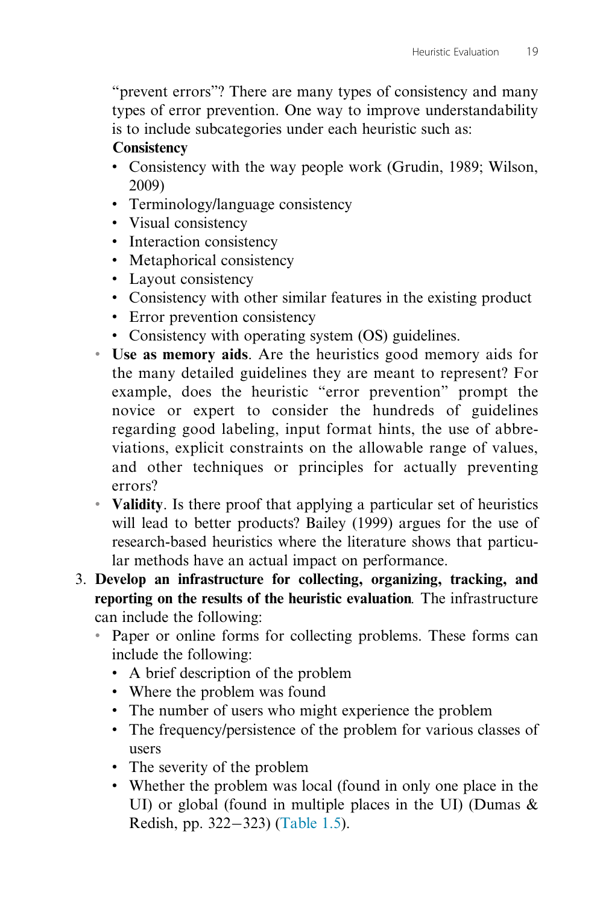"prevent errors"? There are many types of consistency and many types of error prevention. One way to improve understandability is to include subcategories under each heuristic such as:

## **Consistency**

- Consistency with the way people work (Grudin, 1989; Wilson, 2009)
- Terminology/language consistency
- Visual consistency
- Interaction consistency
- Metaphorical consistency
- Layout consistency
- Consistency with other similar features in the existing product
- Error prevention consistency
- Consistency with operating system (OS) guidelines.
- Use as memory aids. Are the heuristics good memory aids for the many detailed guidelines they are meant to represent? For example, does the heuristic "error prevention" prompt the novice or expert to consider the hundreds of guidelines regarding good labeling, input format hints, the use of abbreviations, explicit constraints on the allowable range of values, and other techniques or principles for actually preventing errors?
- **Validity**. Is there proof that applying a particular set of heuristics will lead to better products? Bailey (1999) argues for the use of research-based heuristics where the literature shows that particular methods have an actual impact on performance.
- 3. Develop an infrastructure for collecting, organizing, tracking, and reporting on the results of the heuristic evaluation. The infrastructure can include the following:
	- Paper or online forms for collecting problems. These forms can include the following:
		- A brief description of the problem
		- Where the problem was found
		- The number of users who might experience the problem
		- The frequency/persistence of the problem for various classes of users
		- The severity of the problem
		- Whether the problem was local (found in only one place in the UI) or global (found in multiple places in the UI) (Dumas & Redish, pp.  $322-323$  ([Table 1.5](#page-19-0)).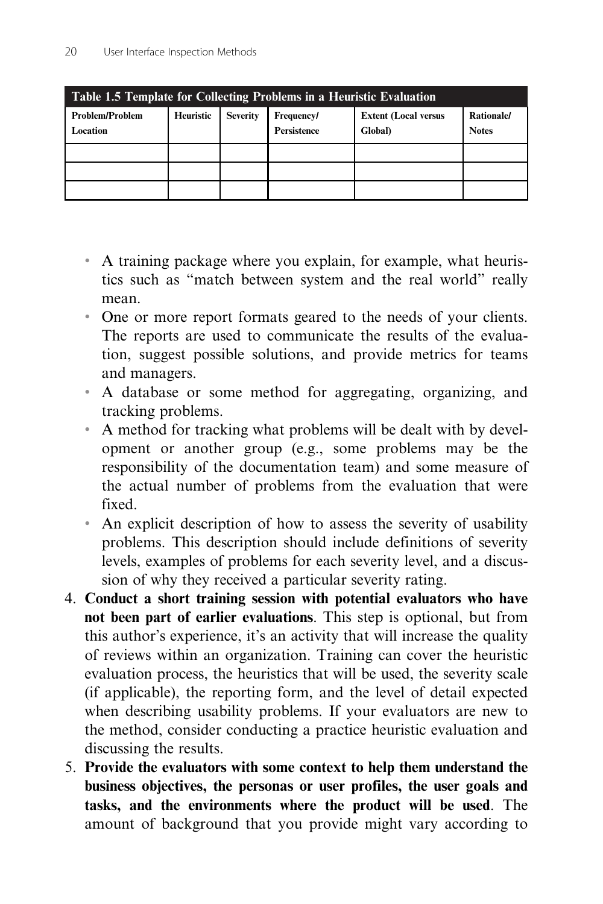<span id="page-19-0"></span>

| Table 1.5 Template for Collecting Problems in a Heuristic Evaluation |                  |                 |                                        |                                        |                                   |
|----------------------------------------------------------------------|------------------|-----------------|----------------------------------------|----------------------------------------|-----------------------------------|
| <b>Problem/Problem</b><br>Location                                   | <b>Heuristic</b> | <b>Severity</b> | <b>Frequency</b><br><b>Persistence</b> | <b>Extent (Local versus</b><br>Global) | <b>Rationale/</b><br><b>Notes</b> |
|                                                                      |                  |                 |                                        |                                        |                                   |
|                                                                      |                  |                 |                                        |                                        |                                   |
|                                                                      |                  |                 |                                        |                                        |                                   |

- A training package where you explain, for example, what heuristics such as "match between system and the real world" really mean.
- One or more report formats geared to the needs of your clients. The reports are used to communicate the results of the evaluation, suggest possible solutions, and provide metrics for teams and managers.
- A database or some method for aggregating, organizing, and tracking problems.
- A method for tracking what problems will be dealt with by development or another group (e.g., some problems may be the responsibility of the documentation team) and some measure of the actual number of problems from the evaluation that were fixed.
- An explicit description of how to assess the severity of usability problems. This description should include definitions of severity levels, examples of problems for each severity level, and a discussion of why they received a particular severity rating.
- 4. Conduct a short training session with potential evaluators who have not been part of earlier evaluations. This step is optional, but from this author's experience, it's an activity that will increase the quality of reviews within an organization. Training can cover the heuristic evaluation process, the heuristics that will be used, the severity scale (if applicable), the reporting form, and the level of detail expected when describing usability problems. If your evaluators are new to the method, consider conducting a practice heuristic evaluation and discussing the results.
- 5. Provide the evaluators with some context to help them understand the business objectives, the personas or user profiles, the user goals and tasks, and the environments where the product will be used. The amount of background that you provide might vary according to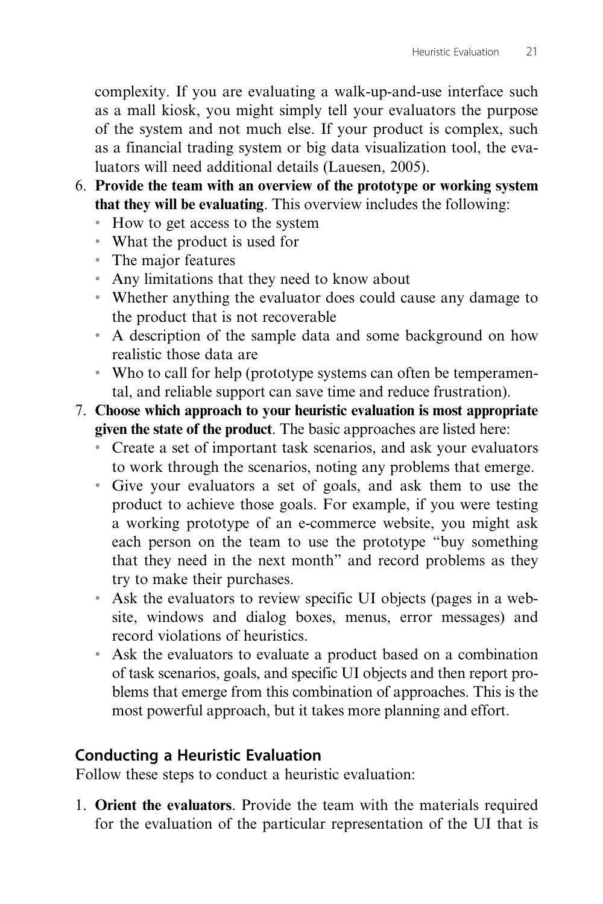complexity. If you are evaluating a walk-up-and-use interface such as a mall kiosk, you might simply tell your evaluators the purpose of the system and not much else. If your product is complex, such as a financial trading system or big data visualization tool, the evaluators will need additional details (Lauesen, 2005).

- 6. Provide the team with an overview of the prototype or working system that they will be evaluating. This overview includes the following:
	- How to get access to the system
	- What the product is used for
	- The major features
	- Any limitations that they need to know about
	- Whether anything the evaluator does could cause any damage to the product that is not recoverable
	- A description of the sample data and some background on how realistic those data are
	- Who to call for help (prototype systems can often be temperamental, and reliable support can save time and reduce frustration).
- 7. Choose which approach to your heuristic evaluation is most appropriate given the state of the product. The basic approaches are listed here:
	- Create a set of important task scenarios, and ask your evaluators to work through the scenarios, noting any problems that emerge.
	- Give your evaluators a set of goals, and ask them to use the product to achieve those goals. For example, if you were testing a working prototype of an e-commerce website, you might ask each person on the team to use the prototype "buy something that they need in the next month" and record problems as they try to make their purchases.
	- Ask the evaluators to review specific UI objects (pages in a website, windows and dialog boxes, menus, error messages) and record violations of heuristics.
	- Ask the evaluators to evaluate a product based on a combination of task scenarios, goals, and specific UI objects and then report problems that emerge from this combination of approaches. This is the most powerful approach, but it takes more planning and effort.

## Conducting a Heuristic Evaluation

Follow these steps to conduct a heuristic evaluation:

1. Orient the evaluators. Provide the team with the materials required for the evaluation of the particular representation of the UI that is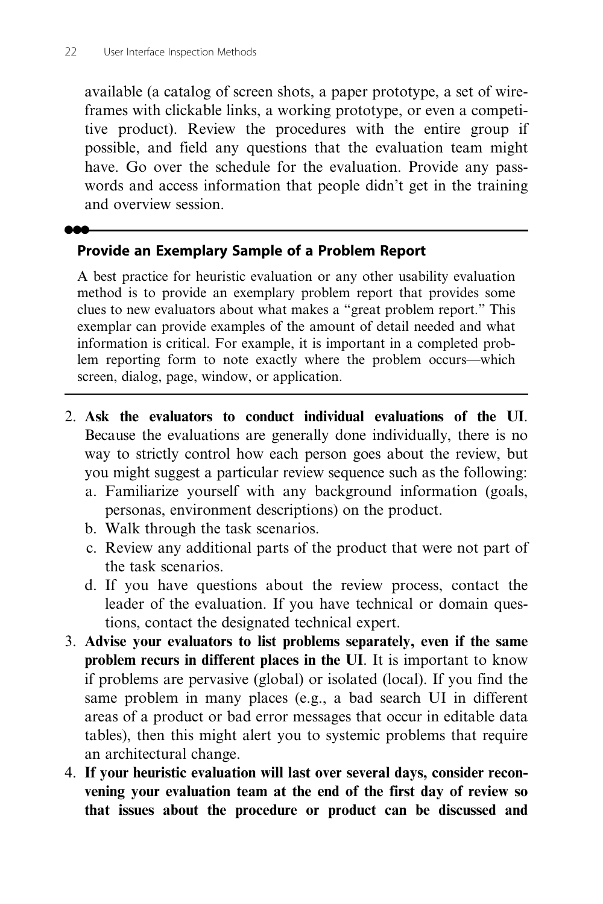available (a catalog of screen shots, a paper prototype, a set of wireframes with clickable links, a working prototype, or even a competitive product). Review the procedures with the entire group if possible, and field any questions that the evaluation team might have. Go over the schedule for the evaluation. Provide any passwords and access information that people didn't get in the training and overview session.

## •••<br>- 0 Provide an Exemplary Sample of a Problem Report

A best practice for heuristic evaluation or any other usability evaluation method is to provide an exemplary problem report that provides some clues to new evaluators about what makes a "great problem report." This exemplar can provide examples of the amount of detail needed and what information is critical. For example, it is important in a completed problem reporting form to note exactly where the problem occurs—which screen, dialog, page, window, or application.

- 2. Ask the evaluators to conduct individual evaluations of the UI. Because the evaluations are generally done individually, there is no way to strictly control how each person goes about the review, but you might suggest a particular review sequence such as the following:
	- a. Familiarize yourself with any background information (goals, personas, environment descriptions) on the product.
	- b. Walk through the task scenarios.
	- c. Review any additional parts of the product that were not part of the task scenarios.
	- d. If you have questions about the review process, contact the leader of the evaluation. If you have technical or domain questions, contact the designated technical expert.
- 3. Advise your evaluators to list problems separately, even if the same problem recurs in different places in the UI. It is important to know if problems are pervasive (global) or isolated (local). If you find the same problem in many places (e.g., a bad search UI in different areas of a product or bad error messages that occur in editable data tables), then this might alert you to systemic problems that require an architectural change.
- 4. If your heuristic evaluation will last over several days, consider reconvening your evaluation team at the end of the first day of review so that issues about the procedure or product can be discussed and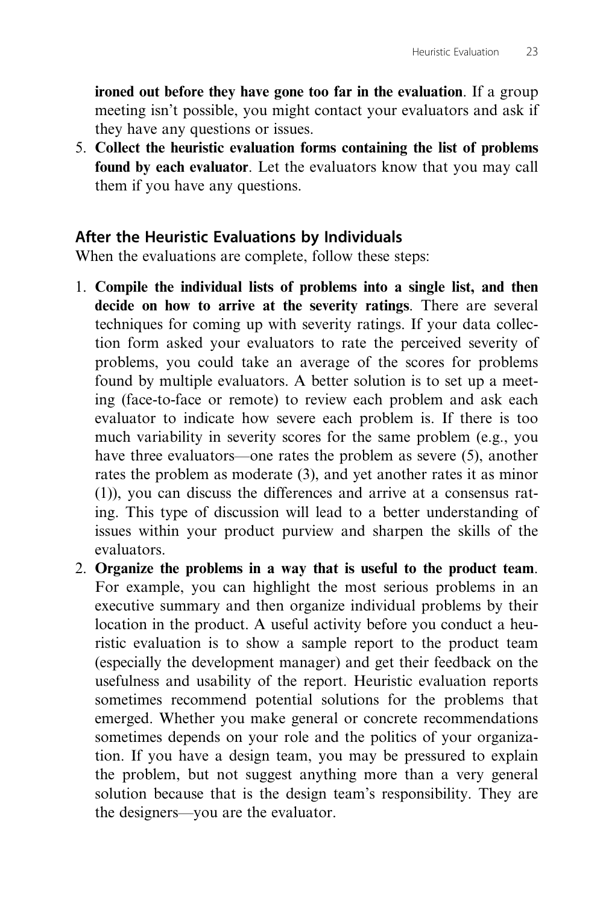ironed out before they have gone too far in the evaluation. If a group meeting isn't possible, you might contact your evaluators and ask if they have any questions or issues.

5. Collect the heuristic evaluation forms containing the list of problems found by each evaluator. Let the evaluators know that you may call them if you have any questions.

#### After the Heuristic Evaluations by Individuals

When the evaluations are complete, follow these steps:

- 1. Compile the individual lists of problems into a single list, and then decide on how to arrive at the severity ratings. There are several techniques for coming up with severity ratings. If your data collection form asked your evaluators to rate the perceived severity of problems, you could take an average of the scores for problems found by multiple evaluators. A better solution is to set up a meeting (face-to-face or remote) to review each problem and ask each evaluator to indicate how severe each problem is. If there is too much variability in severity scores for the same problem (e.g., you have three evaluators—one rates the problem as severe (5), another rates the problem as moderate (3), and yet another rates it as minor (1)), you can discuss the differences and arrive at a consensus rating. This type of discussion will lead to a better understanding of issues within your product purview and sharpen the skills of the evaluators.
- 2. Organize the problems in a way that is useful to the product team. For example, you can highlight the most serious problems in an executive summary and then organize individual problems by their location in the product. A useful activity before you conduct a heuristic evaluation is to show a sample report to the product team (especially the development manager) and get their feedback on the usefulness and usability of the report. Heuristic evaluation reports sometimes recommend potential solutions for the problems that emerged. Whether you make general or concrete recommendations sometimes depends on your role and the politics of your organization. If you have a design team, you may be pressured to explain the problem, but not suggest anything more than a very general solution because that is the design team's responsibility. They are the designers—you are the evaluator.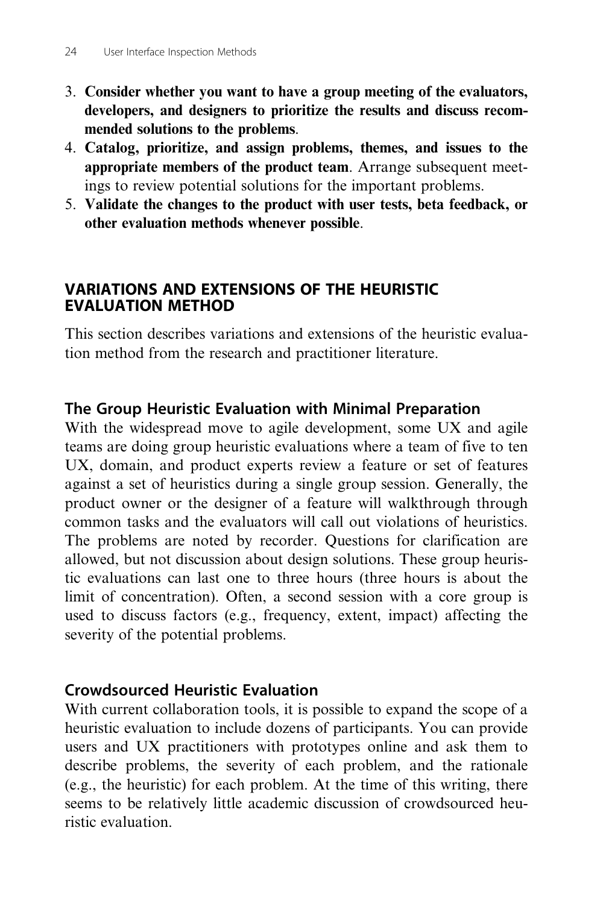- 3. Consider whether you want to have a group meeting of the evaluators, developers, and designers to prioritize the results and discuss recommended solutions to the problems.
- 4. Catalog, prioritize, and assign problems, themes, and issues to the appropriate members of the product team. Arrange subsequent meetings to review potential solutions for the important problems.
- 5. Validate the changes to the product with user tests, beta feedback, or other evaluation methods whenever possible.

## VARIATIONS AND EXTENSIONS OF THE HEURISTIC EVALUATION METHOD

This section describes variations and extensions of the heuristic evaluation method from the research and practitioner literature.

## The Group Heuristic Evaluation with Minimal Preparation

With the widespread move to agile development, some UX and agile teams are doing group heuristic evaluations where a team of five to ten UX, domain, and product experts review a feature or set of features against a set of heuristics during a single group session. Generally, the product owner or the designer of a feature will walkthrough through common tasks and the evaluators will call out violations of heuristics. The problems are noted by recorder. Questions for clarification are allowed, but not discussion about design solutions. These group heuristic evaluations can last one to three hours (three hours is about the limit of concentration). Often, a second session with a core group is used to discuss factors (e.g., frequency, extent, impact) affecting the severity of the potential problems.

## Crowdsourced Heuristic Evaluation

With current collaboration tools, it is possible to expand the scope of a heuristic evaluation to include dozens of participants. You can provide users and UX practitioners with prototypes online and ask them to describe problems, the severity of each problem, and the rationale (e.g., the heuristic) for each problem. At the time of this writing, there seems to be relatively little academic discussion of crowdsourced heuristic evaluation.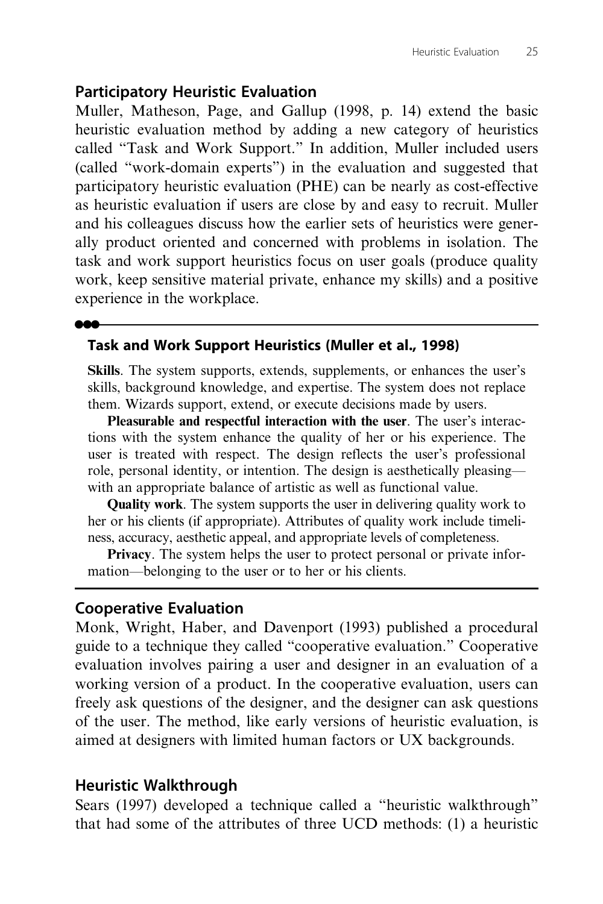## Participatory Heuristic Evaluation

Muller, Matheson, Page, and Gallup (1998, p. 14) extend the basic heuristic evaluation method by adding a new category of heuristics called "Task and Work Support." In addition, Muller included users (called "work-domain experts") in the evaluation and suggested that participatory heuristic evaluation (PHE) can be nearly as cost-effective as heuristic evaluation if users are close by and easy to recruit. Muller and his colleagues discuss how the earlier sets of heuristics were generally product oriented and concerned with problems in isolation. The task and work support heuristics focus on user goals (produce quality work, keep sensitive material private, enhance my skills) and a positive experience in the workplace.

# $\frac{\bullet}{\tau}$

#### Task and Work Support Heuristics (Muller et al., 1998)

Skills. The system supports, extends, supplements, or enhances the user's skills, background knowledge, and expertise. The system does not replace them. Wizards support, extend, or execute decisions made by users.

Pleasurable and respectful interaction with the user. The user's interactions with the system enhance the quality of her or his experience. The user is treated with respect. The design reflects the user's professional role, personal identity, or intention. The design is aesthetically pleasing with an appropriate balance of artistic as well as functional value.

Quality work. The system supports the user in delivering quality work to her or his clients (if appropriate). Attributes of quality work include timeliness, accuracy, aesthetic appeal, and appropriate levels of completeness.

Privacy. The system helps the user to protect personal or private information—belonging to the user or to her or his clients.

## Cooperative Evaluation

Monk, Wright, Haber, and Davenport (1993) published a procedural guide to a technique they called "cooperative evaluation." Cooperative evaluation involves pairing a user and designer in an evaluation of a working version of a product. In the cooperative evaluation, users can freely ask questions of the designer, and the designer can ask questions of the user. The method, like early versions of heuristic evaluation, is aimed at designers with limited human factors or UX backgrounds.

## Heuristic Walkthrough

Sears (1997) developed a technique called a "heuristic walkthrough" that had some of the attributes of three UCD methods: (1) a heuristic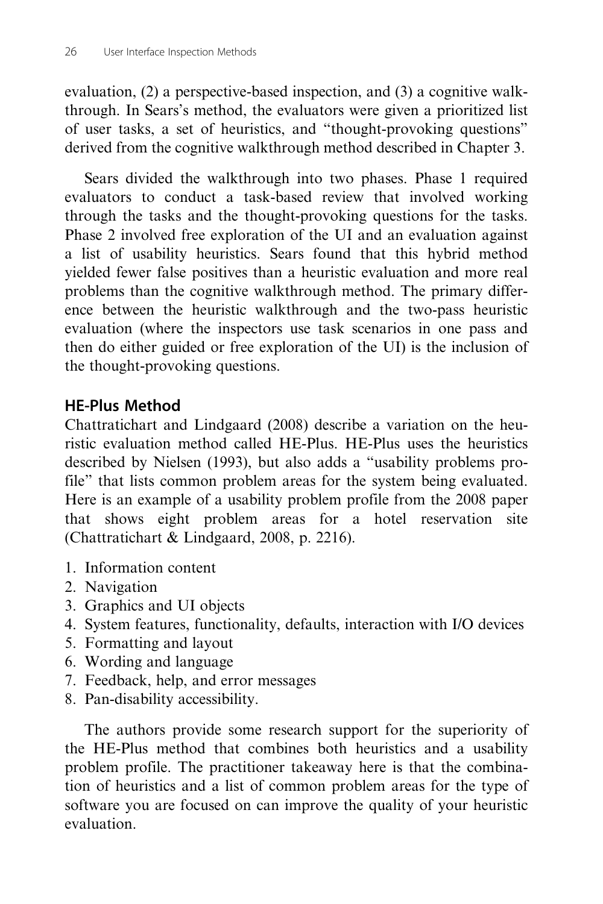evaluation, (2) a perspective-based inspection, and (3) a cognitive walkthrough. In Sears's method, the evaluators were given a prioritized list of user tasks, a set of heuristics, and "thought-provoking questions" derived from the cognitive walkthrough method described in Chapter 3.

Sears divided the walkthrough into two phases. Phase 1 required evaluators to conduct a task-based review that involved working through the tasks and the thought-provoking questions for the tasks. Phase 2 involved free exploration of the UI and an evaluation against a list of usability heuristics. Sears found that this hybrid method yielded fewer false positives than a heuristic evaluation and more real problems than the cognitive walkthrough method. The primary difference between the heuristic walkthrough and the two-pass heuristic evaluation (where the inspectors use task scenarios in one pass and then do either guided or free exploration of the UI) is the inclusion of the thought-provoking questions.

## HE-Plus Method

Chattratichart and Lindgaard (2008) describe a variation on the heuristic evaluation method called HE-Plus. HE-Plus uses the heuristics described by Nielsen (1993), but also adds a "usability problems profile" that lists common problem areas for the system being evaluated. Here is an example of a usability problem profile from the 2008 paper that shows eight problem areas for a hotel reservation site (Chattratichart & Lindgaard, 2008, p. 2216).

- 1. Information content
- 2. Navigation
- 3. Graphics and UI objects
- 4. System features, functionality, defaults, interaction with I/O devices
- 5. Formatting and layout
- 6. Wording and language
- 7. Feedback, help, and error messages
- 8. Pan-disability accessibility.

The authors provide some research support for the superiority of the HE-Plus method that combines both heuristics and a usability problem profile. The practitioner takeaway here is that the combination of heuristics and a list of common problem areas for the type of software you are focused on can improve the quality of your heuristic evaluation.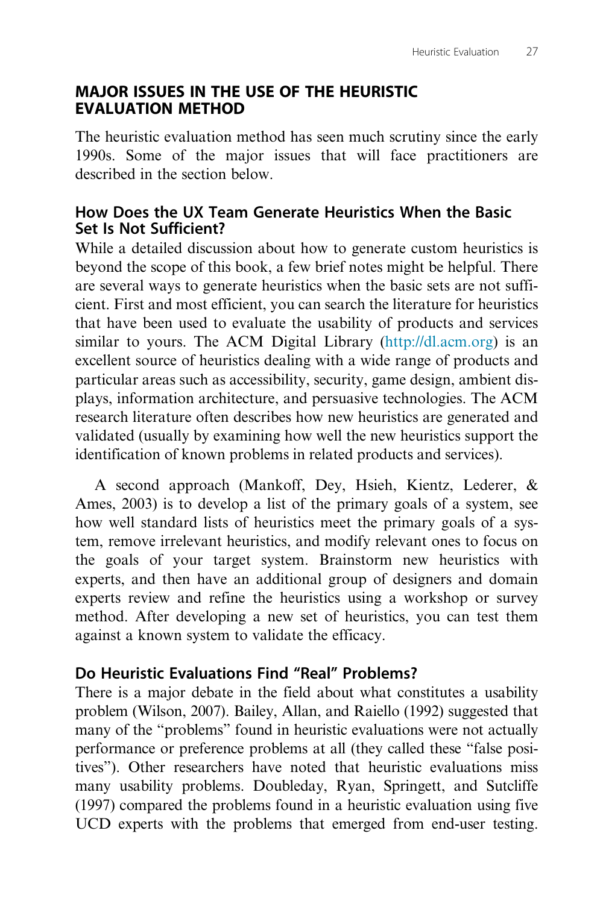## MAJOR ISSUES IN THE USE OF THE HEURISTIC EVALUATION METHOD

The heuristic evaluation method has seen much scrutiny since the early 1990s. Some of the major issues that will face practitioners are described in the section below.

## How Does the UX Team Generate Heuristics When the Basic Set Is Not Sufficient?

While a detailed discussion about how to generate custom heuristics is beyond the scope of this book, a few brief notes might be helpful. There are several ways to generate heuristics when the basic sets are not sufficient. First and most efficient, you can search the literature for heuristics that have been used to evaluate the usability of products and services similar to yours. The ACM Digital Library (<http://dl.acm.org>) is an excellent source of heuristics dealing with a wide range of products and particular areas such as accessibility, security, game design, ambient displays, information architecture, and persuasive technologies. The ACM research literature often describes how new heuristics are generated and validated (usually by examining how well the new heuristics support the identification of known problems in related products and services).

A second approach (Mankoff, Dey, Hsieh, Kientz, Lederer, & Ames, 2003) is to develop a list of the primary goals of a system, see how well standard lists of heuristics meet the primary goals of a system, remove irrelevant heuristics, and modify relevant ones to focus on the goals of your target system. Brainstorm new heuristics with experts, and then have an additional group of designers and domain experts review and refine the heuristics using a workshop or survey method. After developing a new set of heuristics, you can test them against a known system to validate the efficacy.

## Do Heuristic Evaluations Find "Real" Problems?

There is a major debate in the field about what constitutes a usability problem (Wilson, 2007). Bailey, Allan, and Raiello (1992) suggested that many of the "problems" found in heuristic evaluations were not actually performance or preference problems at all (they called these "false positives"). Other researchers have noted that heuristic evaluations miss many usability problems. Doubleday, Ryan, Springett, and Sutcliffe (1997) compared the problems found in a heuristic evaluation using five UCD experts with the problems that emerged from end-user testing.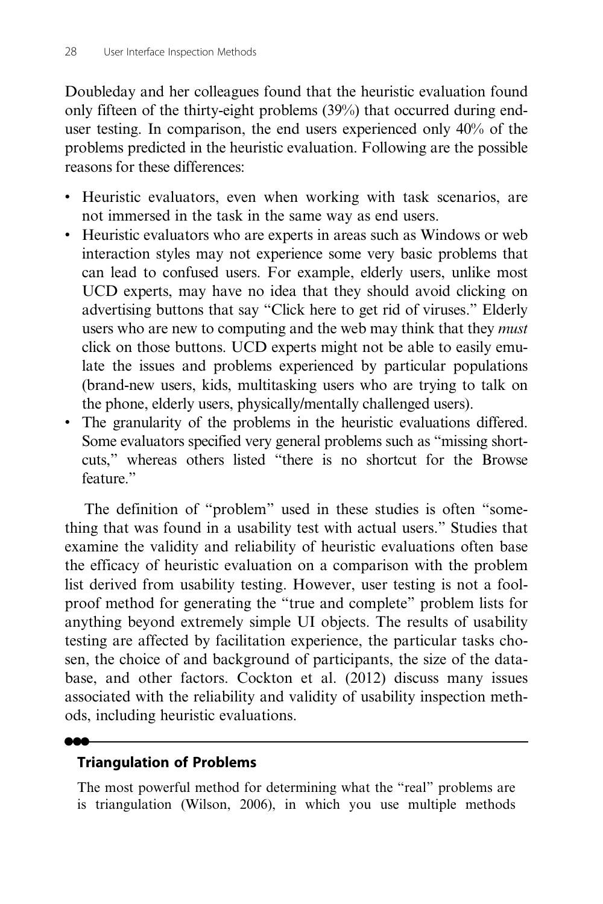Doubleday and her colleagues found that the heuristic evaluation found only fifteen of the thirty-eight problems (39%) that occurred during enduser testing. In comparison, the end users experienced only 40% of the problems predicted in the heuristic evaluation. Following are the possible reasons for these differences:

- Heuristic evaluators, even when working with task scenarios, are not immersed in the task in the same way as end users.
- Heuristic evaluators who are experts in areas such as Windows or web interaction styles may not experience some very basic problems that can lead to confused users. For example, elderly users, unlike most UCD experts, may have no idea that they should avoid clicking on advertising buttons that say "Click here to get rid of viruses." Elderly users who are new to computing and the web may think that they *must* click on those buttons. UCD experts might not be able to easily emulate the issues and problems experienced by particular populations (brand-new users, kids, multitasking users who are trying to talk on the phone, elderly users, physically/mentally challenged users).
- The granularity of the problems in the heuristic evaluations differed. Some evaluators specified very general problems such as "missing shortcuts," whereas others listed "there is no shortcut for the Browse feature."

The definition of "problem" used in these studies is often "something that was found in a usability test with actual users." Studies that examine the validity and reliability of heuristic evaluations often base the efficacy of heuristic evaluation on a comparison with the problem list derived from usability testing. However, user testing is not a foolproof method for generating the "true and complete" problem lists for anything beyond extremely simple UI objects. The results of usability testing are affected by facilitation experience, the particular tasks chosen, the choice of and background of participants, the size of the database, and other factors. Cockton et al. (2012) discuss many issues associated with the reliability and validity of usability inspection methods, including heuristic evaluations.

## $\bullet\bullet\bullet$ Triangulation of Problems

The most powerful method for determining what the "real" problems are is triangulation (Wilson, 2006), in which you use multiple methods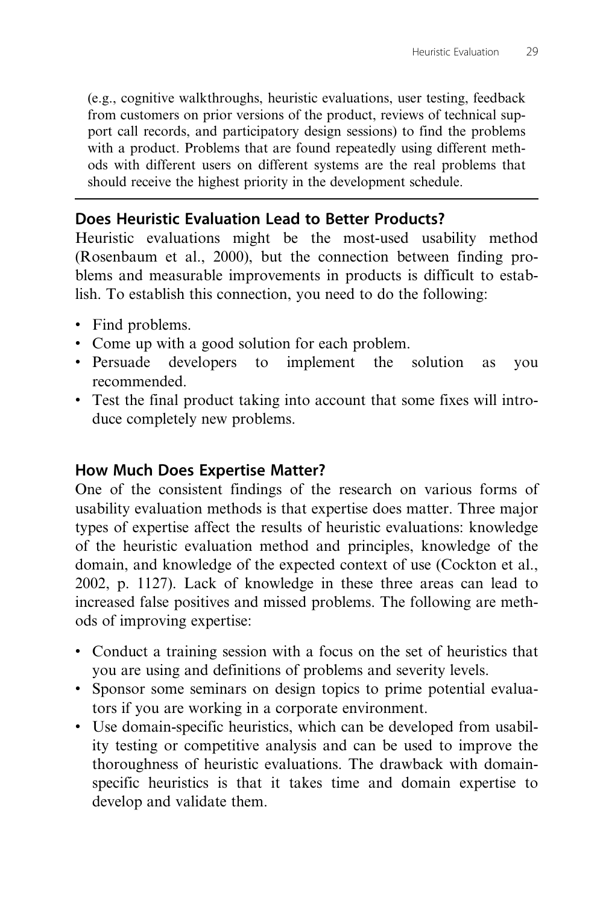(e.g., cognitive walkthroughs, heuristic evaluations, user testing, feedback from customers on prior versions of the product, reviews of technical support call records, and participatory design sessions) to find the problems with a product. Problems that are found repeatedly using different methods with different users on different systems are the real problems that should receive the highest priority in the development schedule.

## Does Heuristic Evaluation Lead to Better Products?

Heuristic evaluations might be the most-used usability method (Rosenbaum et al., 2000), but the connection between finding problems and measurable improvements in products is difficult to establish. To establish this connection, you need to do the following:

- Find problems.
- Come up with a good solution for each problem.
- Persuade developers to implement the solution as you recommended.
- Test the final product taking into account that some fixes will introduce completely new problems.

## How Much Does Expertise Matter?

One of the consistent findings of the research on various forms of usability evaluation methods is that expertise does matter. Three major types of expertise affect the results of heuristic evaluations: knowledge of the heuristic evaluation method and principles, knowledge of the domain, and knowledge of the expected context of use (Cockton et al., 2002, p. 1127). Lack of knowledge in these three areas can lead to increased false positives and missed problems. The following are methods of improving expertise:

- Conduct a training session with a focus on the set of heuristics that you are using and definitions of problems and severity levels.
- Sponsor some seminars on design topics to prime potential evaluators if you are working in a corporate environment.
- Use domain-specific heuristics, which can be developed from usability testing or competitive analysis and can be used to improve the thoroughness of heuristic evaluations. The drawback with domainspecific heuristics is that it takes time and domain expertise to develop and validate them.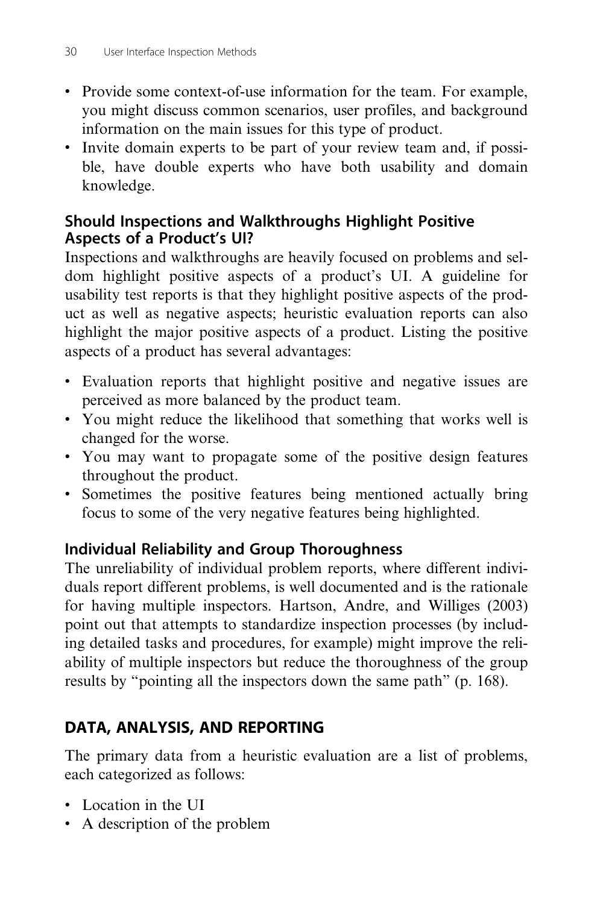- Provide some context-of-use information for the team. For example, you might discuss common scenarios, user profiles, and background information on the main issues for this type of product.
- Invite domain experts to be part of your review team and, if possible, have double experts who have both usability and domain knowledge.

## Should Inspections and Walkthroughs Highlight Positive Aspects of a Product's UI?

Inspections and walkthroughs are heavily focused on problems and seldom highlight positive aspects of a product's UI. A guideline for usability test reports is that they highlight positive aspects of the product as well as negative aspects; heuristic evaluation reports can also highlight the major positive aspects of a product. Listing the positive aspects of a product has several advantages:

- Evaluation reports that highlight positive and negative issues are perceived as more balanced by the product team.
- You might reduce the likelihood that something that works well is changed for the worse.
- You may want to propagate some of the positive design features throughout the product.
- Sometimes the positive features being mentioned actually bring focus to some of the very negative features being highlighted.

## Individual Reliability and Group Thoroughness

The unreliability of individual problem reports, where different individuals report different problems, is well documented and is the rationale for having multiple inspectors. Hartson, Andre, and Williges (2003) point out that attempts to standardize inspection processes (by including detailed tasks and procedures, for example) might improve the reliability of multiple inspectors but reduce the thoroughness of the group results by "pointing all the inspectors down the same path" (p. 168).

## DATA, ANALYSIS, AND REPORTING

The primary data from a heuristic evaluation are a list of problems, each categorized as follows:

- Location in the UI
- A description of the problem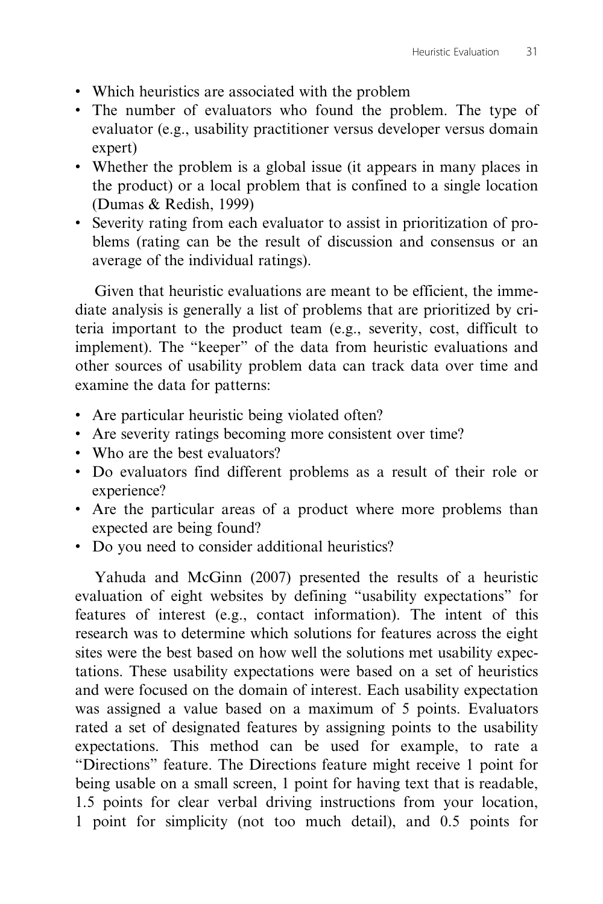- Which heuristics are associated with the problem
- The number of evaluators who found the problem. The type of evaluator (e.g., usability practitioner versus developer versus domain expert)
- Whether the problem is a global issue (it appears in many places in the product) or a local problem that is confined to a single location (Dumas & Redish, 1999)
- Severity rating from each evaluator to assist in prioritization of problems (rating can be the result of discussion and consensus or an average of the individual ratings).

Given that heuristic evaluations are meant to be efficient, the immediate analysis is generally a list of problems that are prioritized by criteria important to the product team (e.g., severity, cost, difficult to implement). The "keeper" of the data from heuristic evaluations and other sources of usability problem data can track data over time and examine the data for patterns:

- Are particular heuristic being violated often?
- Are severity ratings becoming more consistent over time?
- Who are the best evaluators?
- Do evaluators find different problems as a result of their role or experience?
- Are the particular areas of a product where more problems than expected are being found?
- Do you need to consider additional heuristics?

Yahuda and McGinn (2007) presented the results of a heuristic evaluation of eight websites by defining "usability expectations" for features of interest (e.g., contact information). The intent of this research was to determine which solutions for features across the eight sites were the best based on how well the solutions met usability expectations. These usability expectations were based on a set of heuristics and were focused on the domain of interest. Each usability expectation was assigned a value based on a maximum of 5 points. Evaluators rated a set of designated features by assigning points to the usability expectations. This method can be used for example, to rate a "Directions" feature. The Directions feature might receive 1 point for being usable on a small screen, 1 point for having text that is readable, 1.5 points for clear verbal driving instructions from your location, 1 point for simplicity (not too much detail), and 0.5 points for